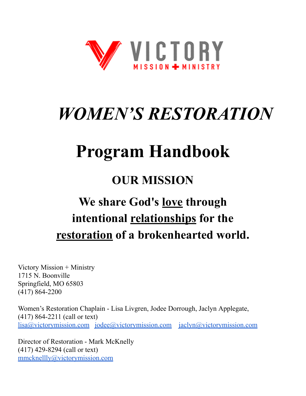

# *WOMEN'S RESTORATION*

# **Program Handbook**

# **OUR MISSION**

# **We share God's love through intentional relationships for the restoration of a brokenhearted world.**

Victory Mission + Ministry 1715 N. Boonville Springfield, MO 65803 (417) 864-2200

Women's Restoration Chaplain - Lisa Livgren, Jodee Dorrough, Jaclyn Applegate, (417) 864-2211 (call or text) [lisa@victorymission.com](mailto:lisa@victorymission.com) [jodee@victorymission.com](mailto:jodee@victorymission.com) [jaclyn@victorymission.com](mailto:jaclyn@victorymission.com)

Director of Restoration - Mark McKnelly (417) 429-8294 (call or text) [mmcknellly@victorymission.com](mailto:mmcknellly@victorymission.com)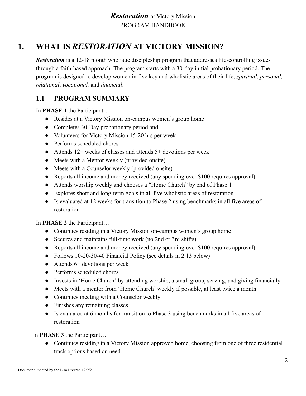# **1. WHAT IS** *RESTORATION* **AT VICTORY MISSION?**

*Restoration* is a 12-18 month wholistic discipleship program that addresses life-controlling issues through a faith-based approach. The program starts with a 30-day initial probationary period. The program is designed to develop women in five key and wholistic areas of their life; *spiritual*, *personal, relational*, *vocational,* and *financial*.

# **1.1 PROGRAM SUMMARY**

In **PHASE 1** the Participant…

- Resides at a Victory Mission on-campus women's group home
- Completes 30-Day probationary period and
- Volunteers for Victory Mission 15-20 hrs per week
- Performs scheduled chores
- Attends  $12+$  weeks of classes and attends  $5+$  devotions per week
- Meets with a Mentor weekly (provided onsite)
- Meets with a Counselor weekly (provided onsite)
- Reports all income and money received (any spending over \$100 requires approval)
- Attends worship weekly and chooses a "Home Church" by end of Phase 1
- Explores short and long-term goals in all five wholistic areas of restoration
- Is evaluated at 12 weeks for transition to Phase 2 using benchmarks in all five areas of restoration

In **PHASE 2** the Participant…

- Continues residing in a Victory Mission on-campus women's group home
- Secures and maintains full-time work (no 2nd or 3rd shifts)
- Reports all income and money received (any spending over \$100 requires approval)
- Follows 10-20-30-40 Financial Policy (see details in 2.13 below)
- $\bullet$  Attends 6+ devotions per week
- Performs scheduled chores
- Invests in 'Home Church' by attending worship, a small group, serving, and giving financially
- Meets with a mentor from 'Home Church' weekly if possible, at least twice a month
- Continues meeting with a Counselor weekly
- Finishes any remaining classes
- Is evaluated at 6 months for transition to Phase 3 using benchmarks in all five areas of restoration

In **PHASE 3** the Participant…

• Continues residing in a Victory Mission approved home, choosing from one of three residential track options based on need.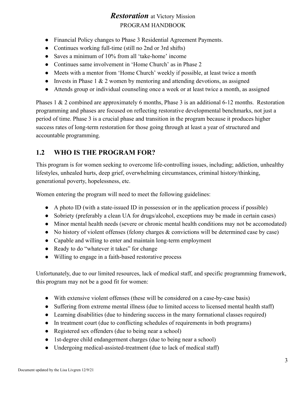- Financial Policy changes to Phase 3 Residential Agreement Payments.
- Continues working full-time (still no 2nd or 3rd shifts)
- Saves a minimum of 10% from all 'take-home' income
- Continues same involvement in 'Home Church' as in Phase 2
- Meets with a mentor from 'Home Church' weekly if possible, at least twice a month
- Invests in Phase  $1 \& 2$  women by mentoring and attending devotions, as assigned
- Attends group or individual counseling once a week or at least twice a month, as assigned

Phases 1 & 2 combined are approximately 6 months, Phase 3 is an additional 6-12 months. Restoration programming and phases are focused on reflecting restorative developmental benchmarks, not just a period of time. Phase 3 is a crucial phase and transition in the program because it produces higher success rates of long-term restoration for those going through at least a year of structured and accountable programming.

#### **1.2 WHO IS THE PROGRAM FOR?**

This program is for women seeking to overcome life-controlling issues, including; addiction, unhealthy lifestyles, unhealed hurts, deep grief, overwhelming circumstances, criminal history/thinking, generational poverty, hopelessness, etc.

Women entering the program will need to meet the following guidelines:

- A photo ID (with a state-issued ID in possession or in the application process if possible)
- Sobriety (preferably a clean UA for drugs/alcohol, exceptions may be made in certain cases)
- Minor mental health needs (severe or chronic mental health conditions may not be accomodated)
- No history of violent offenses (felony charges & convictions will be determined case by case)
- Capable and willing to enter and maintain long-term employment
- Ready to do "whatever it takes" for change
- Willing to engage in a faith-based restorative process

Unfortunately, due to our limited resources, lack of medical staff, and specific programming framework, this program may not be a good fit for women:

- With extensive violent offenses (these will be considered on a case-by-case basis)
- Suffering from extreme mental illness (due to limited access to licensed mental health staff)
- Learning disabilities (due to hindering success in the many formational classes required)
- In treatment court (due to conflicting schedules of requirements in both programs)
- Registered sex offenders (due to being near a school)
- 1st-degree child endangerment charges (due to being near a school)
- Undergoing medical-assisted-treatment (due to lack of medical staff)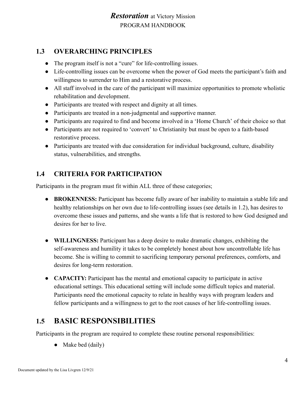### **1.3 OVERARCHING PRINCIPLES**

- The program itself is not a "cure" for life-controlling issues.
- Life-controlling issues can be overcome when the power of God meets the participant's faith and willingness to surrender to Him and a restorative process.
- All staff involved in the care of the participant will maximize opportunities to promote wholistic rehabilitation and development.
- Participants are treated with respect and dignity at all times.
- Participants are treated in a non-judgmental and supportive manner.
- Participants are required to find and become involved in a 'Home Church' of their choice so that
- Participants are not required to 'convert' to Christianity but must be open to a faith-based restorative process.
- Participants are treated with due consideration for individual background, culture, disability status, vulnerabilities, and strengths.

# **1.4 CRITERIA FOR PARTICIPATION**

Participants in the program must fit within ALL three of these categories;

- **BROKENNESS:** Participant has become fully aware of her inability to maintain a stable life and healthy relationships on her own due to life-controlling issues (see details in 1.2), has desires to overcome these issues and patterns, and she wants a life that is restored to how God designed and desires for her to live.
- **WILLINGNESS:** Participant has a deep desire to make dramatic changes, exhibiting the self-awareness and humility it takes to be completely honest about how uncontrollable life has become. She is willing to commit to sacrificing temporary personal preferences, comforts, and desires for long-term restoration.
- **● CAPACITY:** Participant has the mental and emotional capacity to participate in active educational settings. This educational setting will include some difficult topics and material. Participants need the emotional capacity to relate in healthy ways with program leaders and fellow participants and a willingness to get to the root causes of her life-controlling issues.

# **1.5 BASIC RESPONSIBILITIES**

Participants in the program are required to complete these routine personal responsibilities:

Make bed (daily)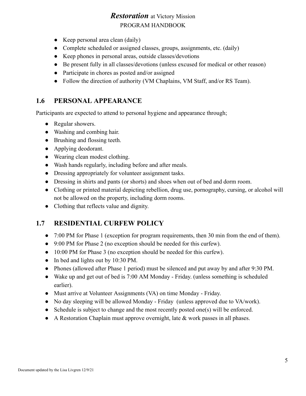- Keep personal area clean (daily)
- Complete scheduled or assigned classes, groups, assignments, etc. (daily)
- Keep phones in personal areas, outside classes/devotions
- Be present fully in all classes/devotions (unless excused for medical or other reason)
- Participate in chores as posted and/or assigned
- Follow the direction of authority (VM Chaplains, VM Staff, and/or RS Team).

#### **1.6 PERSONAL APPEARANCE**

Participants are expected to attend to personal hygiene and appearance through;

- Regular showers.
- Washing and combing hair.
- Brushing and flossing teeth.
- Applying deodorant.
- Wearing clean modest clothing.
- Wash hands regularly, including before and after meals.
- Dressing appropriately for volunteer assignment tasks.
- Dressing in shirts and pants (or shorts) and shoes when out of bed and dorm room.
- Clothing or printed material depicting rebellion, drug use, pornography, cursing, or alcohol will not be allowed on the property, including dorm rooms.
- Clothing that reflects value and dignity.

#### **1.7 RESIDENTIAL CURFEW POLICY**

- 7:00 PM for Phase 1 (exception for program requirements, then 30 min from the end of them).
- 9:00 PM for Phase 2 (no exception should be needed for this curfew).
- 10:00 PM for Phase 3 (no exception should be needed for this curfew).
- In bed and lights out by 10:30 PM.
- Phones (allowed after Phase 1 period) must be silenced and put away by and after 9:30 PM.
- Wake up and get out of bed is 7:00 AM Monday Friday. (unless something is scheduled earlier).
- Must arrive at Volunteer Assignments (VA) on time Monday Friday.
- No day sleeping will be allowed Monday Friday (unless approved due to VA/work).
- Schedule is subject to change and the most recently posted one(s) will be enforced.
- A Restoration Chaplain must approve overnight, late & work passes in all phases.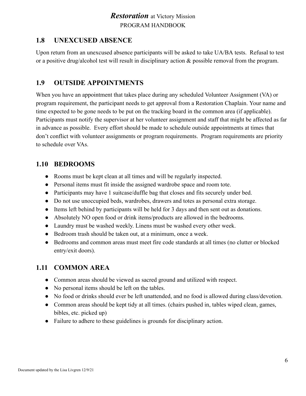#### **1.8 UNEXCUSED ABSENCE**

Upon return from an unexcused absence participants will be asked to take UA/BA tests. Refusal to test or a positive drug/alcohol test will result in disciplinary action & possible removal from the program.

#### **1.9 OUTSIDE APPOINTMENTS**

When you have an appointment that takes place during any scheduled Volunteer Assignment (VA) or program requirement, the participant needs to get approval from a Restoration Chaplain. Your name and time expected to be gone needs to be put on the tracking board in the common area (if applicable). Participants must notify the supervisor at her volunteer assignment and staff that might be affected as far in advance as possible. Every effort should be made to schedule outside appointments at times that don't conflict with volunteer assignments or program requirements. Program requirements are priority to schedule over VAs.

#### **1.10 BEDROOMS**

- Rooms must be kept clean at all times and will be regularly inspected.
- Personal items must fit inside the assigned wardrobe space and room tote.
- Participants may have 1 suitcase/duffle bag that closes and fits securely under bed.
- Do not use unoccupied beds, wardrobes, drawers and totes as personal extra storage.
- Items left behind by participants will be held for 3 days and then sent out as donations.
- Absolutely NO open food or drink items/products are allowed in the bedrooms.
- Laundry must be washed weekly. Linens must be washed every other week.
- Bedroom trash should be taken out, at a minimum, once a week.
- Bedrooms and common areas must meet fire code standards at all times (no clutter or blocked entry/exit doors).

#### **1.11 COMMON AREA**

- Common areas should be viewed as sacred ground and utilized with respect.
- No personal items should be left on the tables.
- No food or drinks should ever be left unattended, and no food is allowed during class/devotion.
- Common areas should be kept tidy at all times. (chairs pushed in, tables wiped clean, games, bibles, etc. picked up)
- Failure to adhere to these guidelines is grounds for disciplinary action.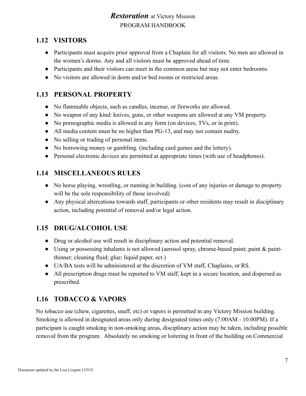# **1.12 VISITORS**

- Participants must acquire prior approval from a Chaplain for all visitors. No men are allowed in the women's dorms. Any and all visitors must be approved ahead of time.
- Participants and their visitors can meet in the common areas but may not enter bedrooms.
- No visitors are allowed in dorm and/or bed rooms or restricted areas.

#### **1.13 PERSONAL PROPERTY**

- No flammable objects, such as candles, incense, or fireworks are allowed.
- No weapon of any kind: knives, guns, or other weapons are allowed at any VM property.
- No pornographic media is allowed in any form (on devices, TVs, or in print).
- All media content must be no higher than PG-13, and may not contain nudity.
- No selling or trading of personal items.
- No borrowing money or gambling. (including card games and the lottery).
- Personal electronic devices are permitted at appropriate times (with use of headphones).

#### **1.14 MISCELLANEOUS RULES**

- No horse playing, wrestling, or running in building. (cost of any injuries or damage to property will be the sole responsibility of those involved)
- Any physical altercations towards staff, participants or other residents may result in disciplinary action, including potential of removal and/or legal action.

#### **1.15 DRUG/ALCOHOL USE**

- Drug or alcohol use will result in disciplinary action and potential removal.
- Using or possessing inhalants is not allowed (aerosol spray, chrome-based paint; paint & paintthinner; cleaning fluid; glue; liquid paper, ect.)
- UA/BA tests will be administered at the discretion of VM staff, Chaplains, or RS.
- All prescription drugs must be reported to VM staff, kept in a secure location, and dispersed as prescribed.

# **1.16 TOBACCO & VAPORS**

No tobacco use (chew, cigarettes, snuff, etc) or vapors is permitted in any Victory Mission building. Smoking is allowed in designated areas only during designated times only (7:00AM - 10:00PM). If a participant is caught smoking in non-smoking areas, disciplinary action may be taken, including possible removal from the program. Absolutely no smoking or loitering in front of the building on Commercial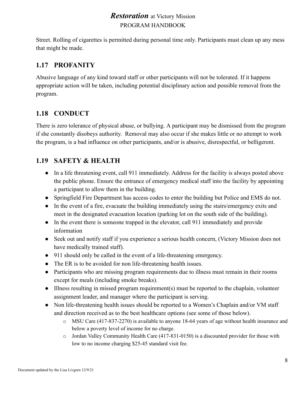Street. Rolling of cigarettes is permitted during personal time only. Participants must clean up any mess that might be made.

### **1.17 PROFANITY**

Abusive language of any kind toward staff or other participants will not be tolerated. If it happens appropriate action will be taken, including potential disciplinary action and possible removal from the program.

# **1.18 CONDUCT**

There is zero tolerance of physical abuse, or bullying. A participant may be dismissed from the program if she constantly disobeys authority. Removal may also occur if she makes little or no attempt to work the program, is a bad influence on other participants, and/or is abusive, disrespectful, or belligerent.

#### **1.19 SAFETY & HEALTH**

- In a life threatening event, call 911 immediately. Address for the facility is always posted above the public phone. Ensure the entrance of emergency medical staff into the facility by appointing a participant to allow them in the building.
- Springfield Fire Department has access codes to enter the building but Police and EMS do not.
- In the event of a fire, evacuate the building immediately using the stairs/emergency exits and meet in the designated evacuation location (parking lot on the south side of the building).
- In the event there is someone trapped in the elevator, call 911 immediately and provide information
- Seek out and notify staff if you experience a serious health concern, (Victory Mission does not have medically trained staff).
- 911 should only be called in the event of a life-threatening emergency.
- The ER is to be avoided for non life-threatening health issues.
- Participants who are missing program requirements due to illness must remain in their rooms except for meals (including smoke breaks).
- Illness resulting in missed program requirement(s) must be reported to the chaplain, volunteer assignment leader, and manager where the participant is serving.
- Non life-threatening health issues should be reported to a Women's Chaplain and/or VM staff and direction received as to the best healthcare options (see some of those below).
	- o MSU Care (417-837-2270) is available to anyone 18-64 years of age without health insurance and below a poverty level of income for no charge.
	- $\circ$  Jordan Valley Community Health Care (417-831-0150) is a discounted provider for those with low to no income charging \$25-45 standard visit fee.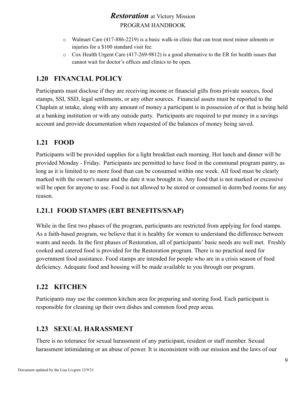- o Walmart Care (417-886-2219) is a basic walk-in clinic that can treat most minor ailments or injuries for a \$100 standard visit fee.
- o Cox Health Urgent Care (417-269-9812) is a good alternative to the ER for health issues that cannot wait for doctor's offices and clinics to be open.

#### **1.20 FINANCIAL POLICY**

Participants must disclose if they are receiving income or financial gifts from private sources, food stamps, SSI, SSD, legal settlements, or any other sources. Financial assets must be reported to the Chaplain at intake, along with any amount of money a participant is in possession of or that is being held at a banking institution or with any outside party. Participants are required to put money in a savings account and provide documentation when requested of the balances of money being saved.

# **1.21 FOOD**

Participants will be provided supplies for a light breakfast each morning. Hot lunch and dinner will be provided Monday - Friday. Participants are permitted to have food in the communal program pantry, as long as it is limited to no more food than can be consumed within one week. All food must be clearly marked with the owner's name and the date it was brought in. Any food that is not marked or excessive will be open for anyone to use. Food is not allowed to be stored or consumed in dorm/bed rooms for any reason.

#### **1.21.1 FOOD STAMPS (EBT BENEFITS/SNAP)**

While in the first two phases of the program, participants are restricted from applying for food stamps. As a faith-based program, we believe that it is healthy for women to understand the difference between wants and needs. In the first phases of Restoration, all of participants' basic needs are well met. Freshly cooked and catered food is provided for the Restoration program. There is no practical need for government food assistance. Food stamps are intended for people who are in a crisis season of food deficiency. Adequate food and housing will be made available to you through our program.

#### **1.22 KITCHEN**

Participants may use the common kitchen area for preparing and storing food. Each participant is responsible for cleaning up their own dishes and common food prep areas.

#### **1.23 SEXUAL HARASSMENT**

There is no tolerance for sexual harassment of any participant, resident or staff member. Sexual harassment intimidating or an abuse of power. It is inconsistent with our mission and the laws of our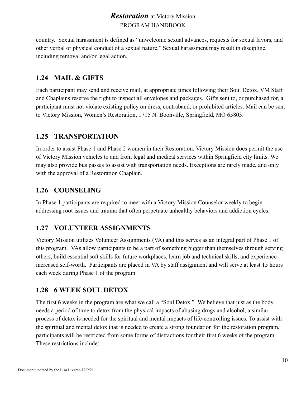country. Sexual harassment is defined as "unwelcome sexual advances, requests for sexual favors, and other verbal or physical conduct of a sexual nature." Sexual harassment may result in discipline, including removal and/or legal action.

#### **1.24 MAIL & GIFTS**

Each participant may send and receive mail, at appropriate times following their Soul Detox. VM Staff and Chaplains reserve the right to inspect all envelopes and packages. Gifts sent to, or purchased for, a participant must not violate existing policy on dress, contraband, or prohibited articles. Mail can be sent to Victory Mission, Women's Restoration, 1715 N. Boonville, Springfield, MO 65803.

#### **1.25 TRANSPORTATION**

In order to assist Phase 1 and Phase 2 women in their Restoration, Victory Mission does permit the use of Victory Mission vehicles to and from legal and medical services within Springfield city limits. We may also provide bus passes to assist with transportation needs. Exceptions are rarely made, and only with the approval of a Restoration Chaplain.

#### **1.26 COUNSELING**

In Phase 1 participants are required to meet with a Victory Mission Counselor weekly to begin addressing root issues and trauma that often perpetuate unhealthy behaviors and addiction cycles.

#### **1.27 VOLUNTEER ASSIGNMENTS**

Victory Mission utilizes Volunteer Assignments (VA) and this serves as an integral part of Phase 1 of this program. VAs allow participants to be a part of something bigger than themselves through serving others, build essential soft skills for future workplaces, learn job and technical skills, and experience increased self-worth. Participants are placed in VA by staff assignment and will serve at least 15 hours each week during Phase 1 of the program.

#### **1.28 6 WEEK SOUL DETOX**

The first 6 weeks in the program are what we call a "Soul Detox." We believe that just as the body needs a period of time to detox from the physical impacts of abusing drugs and alcohol, a similar process of detox is needed for the spiritual and mental impacts of life-controlling issues. To assist with the spiritual and mental detox that is needed to create a strong foundation for the restoration program, participants will be restricted from some forms of distractions for their first 6 weeks of the program. These restrictions include: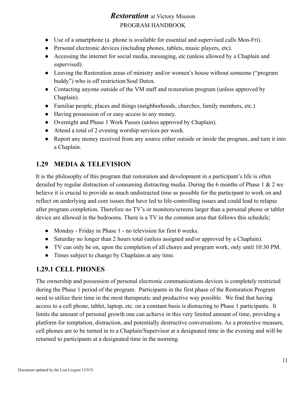- Use of a smartphone (a phone is available for essential and supervised calls Mon-Fri).
- Personal electronic devices (including phones, tablets, music players, etc).
- Accessing the internet for social media, messaging, etc (unless allowed by a Chaplain and supervised).
- Leaving the Restoration areas of ministry and/or women's house without someone ("program") buddy") who is off restriction/Soul Detox.
- Contacting anyone outside of the VM staff and restoration program (unless approved by Chaplain).
- Familiar people, places and things (neighborhoods, churches, family members, etc.)
- Having possession of or easy access to any money.
- Overnight and Phase 1 Work Passes (unless approved by Chaplain).
- Attend a total of 2 evening worship services per week.
- Report any money received from any source either outside or inside the program, and turn it into a Chaplain.

#### **1.29 MEDIA & TELEVISION**

It is the philosophy of this program that restoration and development in a participant's life is often derailed by regular distraction of consuming distracting media. During the 6 months of Phase 1 & 2 we believe it is crucial to provide as much undistracted time as possible for the participant to work on and reflect on underlying and core issues that have led to life-controlling issues and could lead to relapse after program completion. Therefore no TV's or monitors/screens larger than a personal phone or tablet device are allowed in the bedrooms. There is a TV in the common area that follows this schedule;

- Monday Friday in Phase 1 no television for first 6 weeks.
- Saturday no longer than 2 hours total (unless assigned and/or approved by a Chaplain).
- TV can only be on, upon the completion of all chores and program work, only until 10:30 PM.
- Times subject to change by Chaplains at any time.

#### **1.29.1 CELL PHONES**

The ownership and possession of personal electronic communications devices is completely restricted during the Phase 1 period of the program. Participants in the first phase of the Restoration Program need to utilize their time in the most therapeutic and productive way possible. We find that having access to a cell phone, tablet, laptop, etc. on a constant basis is distracting to Phase 1 participants. It limits the amount of personal growth one can achieve in this very limited amount of time, providing a platform for temptation, distraction, and potentially destructive conversations. As a protective measure, cell phones are to be turned in to a Chaplain/Supervisor at a designated time in the evening and will be returned to participants at a designated time in the morning.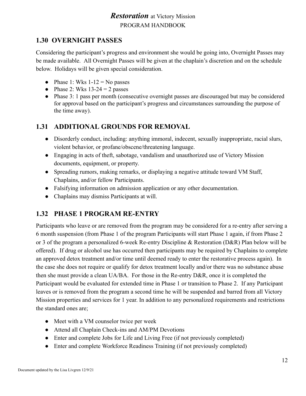# **1.30 OVERNIGHT PASSES**

Considering the participant's progress and environment she would be going into, Overnight Passes may be made available. All Overnight Passes will be given at the chaplain's discretion and on the schedule below. Holidays will be given special consideration.

- Phase 1: Wks  $1-12 =$  No passes
- Phase 2: Wks  $13-24 = 2$  passes
- Phase 3: 1 pass per month (consecutive overnight passes are discouraged but may be considered for approval based on the participant's progress and circumstances surrounding the purpose of the time away).

#### **1.31 ADDITIONAL GROUNDS FOR REMOVAL**

- Disorderly conduct, including: anything immoral, indecent, sexually inappropriate, racial slurs, violent behavior, or profane/obscene/threatening language.
- Engaging in acts of theft, sabotage, vandalism and unauthorized use of Victory Mission documents, equipment, or property.
- Spreading rumors, making remarks, or displaying a negative attitude toward VM Staff, Chaplains, and/or fellow Participants.
- Falsifying information on admission application or any other documentation.
- Chaplains may dismiss Participants at will.

#### **1.32 PHASE 1 PROGRAM RE-ENTRY**

Participants who leave or are removed from the program may be considered for a re-entry after serving a 6 month suspension (from Phase 1 of the program Participants will start Phase 1 again, if from Phase 2 or 3 of the program a personalized 6-week Re-entry Discipline & Restoration (D&R) Plan below will be offered). If drug or alcohol use has occurred then participants may be required by Chaplains to complete an approved detox treatment and/or time until deemed ready to enter the restorative process again). In the case she does not require or qualify for detox treatment locally and/or there was no substance abuse then she must provide a clean UA/BA. For those in the Re-entry D&R, once it is completed the Participant would be evaluated for extended time in Phase 1 or transition to Phase 2. If any Participant leaves or is removed from the program a second time he will be suspended and barred from all Victory Mission properties and services for 1 year. In addition to any personalized requirements and restrictions the standard ones are;

- Meet with a VM counselor twice per week
- Attend all Chaplain Check-ins and AM/PM Devotions
- Enter and complete Jobs for Life and Living Free (if not previously completed)
- Enter and complete Workforce Readiness Training (if not previously completed)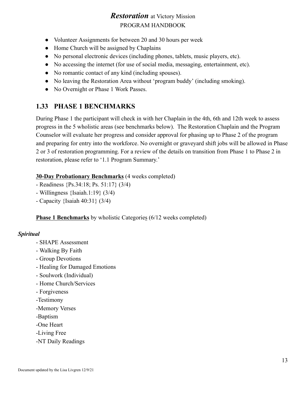- Volunteer Assignments for between 20 and 30 hours per week
- Home Church will be assigned by Chaplains
- No personal electronic devices (including phones, tablets, music players, etc).
- No accessing the internet (for use of social media, messaging, entertainment, etc).
- No romantic contact of any kind (including spouses).
- No leaving the Restoration Area without 'program buddy' (including smoking).
- No Overnight or Phase 1 Work Passes.

#### **1.33 PHASE 1 BENCHMARKS**

During Phase 1 the participant will check in with her Chaplain in the 4th, 6th and 12th week to assess progress in the 5 wholistic areas (see benchmarks below). The Restoration Chaplain and the Program Counselor will evaluate her progress and consider approval for phasing up to Phase 2 of the program and preparing for entry into the workforce. No overnight or graveyard shift jobs will be allowed in Phase 2 or 3 of restoration programming. For a review of the details on transition from Phase 1 to Phase 2 in restoration, please refer to '1.1 Program Summary.'

#### **30-Day Probationary Benchmarks** (4 weeks completed)

- Readiness {Ps.34:18; Ps. 51:17} (3/4)
- Willingness {Isaiah.1:19} (3/4)
- Capacity {Isaiah 40:31} (3/4)

**Phase 1 Benchmarks** by wholistic Categories (6/12 weeks completed)

#### *Spiritual*

- SHAPE Assessment
- Walking By Faith
- Group Devotions
- Healing for Damaged Emotions
- Soulwork (Individual)
- Home Church/Services
- Forgiveness
- -Testimony
- -Memory Verses
- -Baptism
- -One Heart
- -Living Free
- -NT Daily Readings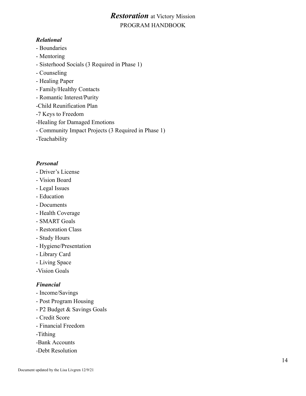#### *Relational*

- Boundaries
- Mentoring
- Sisterhood Socials (3 Required in Phase 1)
- Counseling
- Healing Paper
- Family/Healthy Contacts
- Romantic Interest/Purity
- -Child Reunification Plan
- -7 Keys to Freedom
- -Healing for Damaged Emotions
- Community Impact Projects (3 Required in Phase 1)
- -Teachability

#### *Personal*

- Driver's License
- Vision Board
- Legal Issues
- Education
- Documents
- Health Coverage
- SMART Goals
- Restoration Class
- Study Hours
- Hygiene/Presentation
- Library Card
- Living Space
- -Vision Goals

#### *Financial*

- Income/Savings
- Post Program Housing
- P2 Budget & Savings Goals
- Credit Score
- Financial Freedom
- -Tithing
- -Bank Accounts
- -Debt Resolution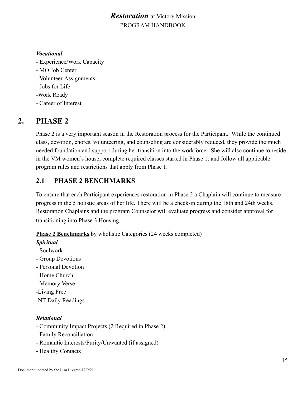#### *Vocational*

- Experience/Work Capacity
- MO Job Center
- Volunteer Assignments
- Jobs for Life
- -Work Ready
- Career of Interest

# **2. PHASE 2**

Phase 2 is a very important season in the Restoration process for the Participant. While the continued class, devotion, chores, volunteering, and counseling are considerably reduced, they provide the much needed foundation and support during her transition into the workforce. She will also continue to reside in the VM women's house; complete required classes started in Phase 1; and follow all applicable program rules and restrictions that apply from Phase 1.

# **2.1 PHASE 2 BENCHMARKS**

To ensure that each Participant experiences restoration in Phase 2 a Chaplain will continue to measure progress in the 5 holistic areas of her life. There will be a check-in during the 18th and 24th weeks. Restoration Chaplains and the program Counselor will evaluate progress and consider approval for transitioning into Phase 3 Housing.

#### **Phase 2 Benchmarks** by wholistic Categories (24 weeks completed)

#### *Spiritual*

- Soulwork
- Group Devotions
- Personal Devotion
- Home Church
- Memory Verse
- -Living Free
- -NT Daily Readings

#### *Relational*

- Community Impact Projects (2 Required in Phase 2)
- Family Reconciliation
- Romantic Interests/Purity/Unwanted (if assigned)
- Healthy Contacts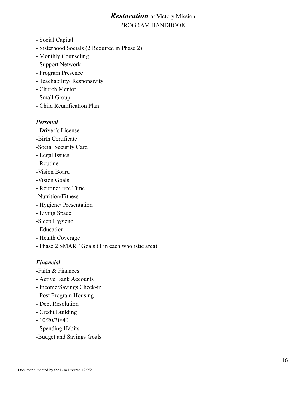- Social Capital
- Sisterhood Socials (2 Required in Phase 2)
- Monthly Counseling
- Support Network
- Program Presence
- Teachability/ Responsivity
- Church Mentor
- Small Group
- Child Reunification Plan

#### *Personal*

- Driver's License
- -Birth Certificate
- -Social Security Card
- Legal Issues
- Routine
- -Vision Board
- -Vision Goals
- Routine/Free Time
- -Nutrition/Fitness
- Hygiene/ Presentation
- Living Space
- -Sleep Hygiene
- Education
- Health Coverage
- Phase 2 SMART Goals (1 in each wholistic area)

#### *Financial*

- **-**Faith & Finances
- Active Bank Accounts
- Income/Savings Check-in
- Post Program Housing
- Debt Resolution
- Credit Building
- 10/20/30/40
- Spending Habits
- -Budget and Savings Goals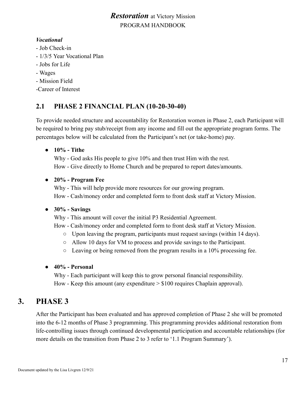#### *Vocational*

- Job Check-in
- 1/3/5 Year Vocational Plan
- Jobs for Life
- Wages
- Mission Field
- -Career of Interest

# **2.1 PHASE 2 FINANCIAL PLAN (10-20-30-40)**

To provide needed structure and accountability for Restoration women in Phase 2, each Participant will be required to bring pay stub/receipt from any income and fill out the appropriate program forms. The percentages below will be calculated from the Participant's net (or take-home) pay.

#### ● **10% - Tithe**

Why - God asks His people to give 10% and then trust Him with the rest. How - Give directly to Home Church and be prepared to report dates/amounts.

#### ● **20% - Program Fee**

Why - This will help provide more resources for our growing program. How - Cash/money order and completed form to front desk staff at Victory Mission.

#### ● **30% - Savings**

- Why This amount will cover the initial P3 Residential Agreement.
- How Cash/money order and completed form to front desk staff at Victory Mission.
	- $\circ$  Upon leaving the program, participants must request savings (within 14 days).
	- Allow 10 days for VM to process and provide savings to the Participant.
	- $\circ$  Leaving or being removed from the program results in a 10% processing fee.

#### ● **40% - Personal**

Why - Each participant will keep this to grow personal financial responsibility. How - Keep this amount (any expenditure  $> $100$  requires Chaplain approval).

# **3. PHASE 3**

After the Participant has been evaluated and has approved completion of Phase 2 she will be promoted into the 6-12 months of Phase 3 programming. This programming provides additional restoration from life-controlling issues through continued developmental participation and accountable relationships (for more details on the transition from Phase 2 to 3 refer to '1.1 Program Summary').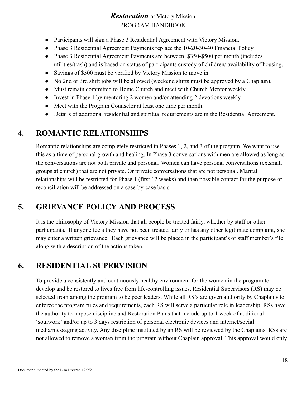- Participants will sign a Phase 3 Residential Agreement with Victory Mission.
- Phase 3 Residential Agreement Payments replace the 10-20-30-40 Financial Policy.
- Phase 3 Residential Agreement Payments are between \$350-\$500 per month (includes utilities/trash) and is based on status of participants custody of children/ availability of housing.
- Savings of \$500 must be verified by Victory Mission to move in.
- No 2nd or 3rd shift jobs will be allowed (weekend shifts must be approved by a Chaplain).
- Must remain committed to Home Church and meet with Church Mentor weekly.
- Invest in Phase 1 by mentoring 2 women and/or attending 2 devotions weekly.
- Meet with the Program Counselor at least one time per month.
- Details of additional residential and spiritual requirements are in the Residential Agreement.

# **4. ROMANTIC RELATIONSHIPS**

Romantic relationships are completely restricted in Phases 1, 2, and 3 of the program. We want to use this as a time of personal growth and healing. In Phase 3 conversations with men are allowed as long as the conversations are not both private and personal. Women can have personal conversations (ex.small groups at church) that are not private. Or private conversations that are not personal. Marital relationships will be restricted for Phase 1 (first 12 weeks) and then possible contact for the purpose or reconciliation will be addressed on a case-by-case basis.

# **5. GRIEVANCE POLICY AND PROCESS**

It is the philosophy of Victory Mission that all people be treated fairly, whether by staff or other participants. If anyone feels they have not been treated fairly or has any other legitimate complaint, she may enter a written grievance. Each grievance will be placed in the participant's or staff member's file along with a description of the actions taken.

# **6. RESIDENTIAL SUPERVISION**

To provide a consistently and continuously healthy environment for the women in the program to develop and be restored to lives free from life-controlling issues, Residential Supervisors (RS) may be selected from among the program to be peer leaders. While all RS's are given authority by Chaplains to enforce the program rules and requirements, each RS will serve a particular role in leadership. RSs have the authority to impose discipline and Restoration Plans that include up to 1 week of additional 'soulwork' and/or up to 3 days restriction of personal electronic devices and internet/social media/messaging activity. Any discipline instituted by an RS will be reviewed by the Chaplains. RSs are not allowed to remove a woman from the program without Chaplain approval. This approval would only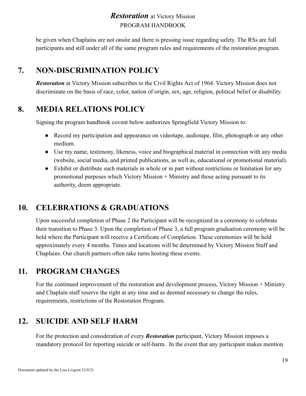be given when Chaplains are not onsite and there is pressing issue regarding safety. The RSs are full participants and still under all of the same program rules and requirements of the restoration program.

# **7. NON-DISCRIMINATION POLICY**

*Restoration* at Victory Mission subscribes to the Civil Rights Act of 1964. Victory Mission does not discriminate on the basis of race, color, nation of origin, sex, age, religion, political belief or disability.

# **8. MEDIA RELATIONS POLICY**

Signing the program handbook covent below authorizes Springfield Victory Mission to:

- Record my participation and appearance on videotape, audiotape, film, photograph or any other medium.
- Use my name, testimony, likeness, voice and biographical material in connection with any media (website, social media, and printed publications, as well as, educational or promotional material).
- Exhibit or distribute such materials in whole or in part without restrictions or limitation for any promotional purposes which Victory Mission + Ministry and those acting pursuant to its authority, deem appropriate.

# **10. CELEBRATIONS & GRADUATIONS**

Upon successful completion of Phase 2 the Participant will be recognized in a ceremony to celebrate their transition to Phase 3. Upon the completion of Phase 3, a full program graduation ceremony will be held where the Participant will receive a Certificate of Completion. These ceremonies will be held approximately every 4 months. Times and locations will be determined by Victory Mission Staff and Chaplains. Our church partners often take turns hosting these events.

# **11. PROGRAM CHANGES**

For the continued improvement of the restoration and development process, Victory Mission + Ministry and Chaplain staff reserve the right at any time and as deemed necessary to change the rules, requirements, restrictions of the Restoration Program.

# **12. SUICIDE AND SELF HARM**

For the protection and consideration of every *Restoration* participant, Victory Mission imposes a mandatory protocol for reporting suicide or self-harm. In the event that any participant makes mention